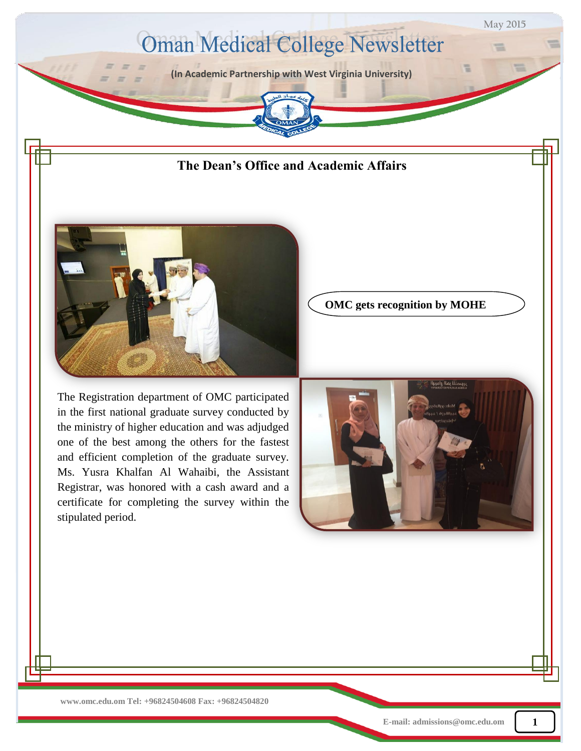



The Registration department of OMC participated in the first national graduate survey conducted by the ministry of higher education and was adjudged one of the best among the others for the fastest and efficient completion of the graduate survey. Ms. Yusra Khalfan Al Wahaibi, the Assistant Registrar, was honored with a cash award and a certificate for completing the survey within the stipulated period.

**OMC gets recognition by MOHE**

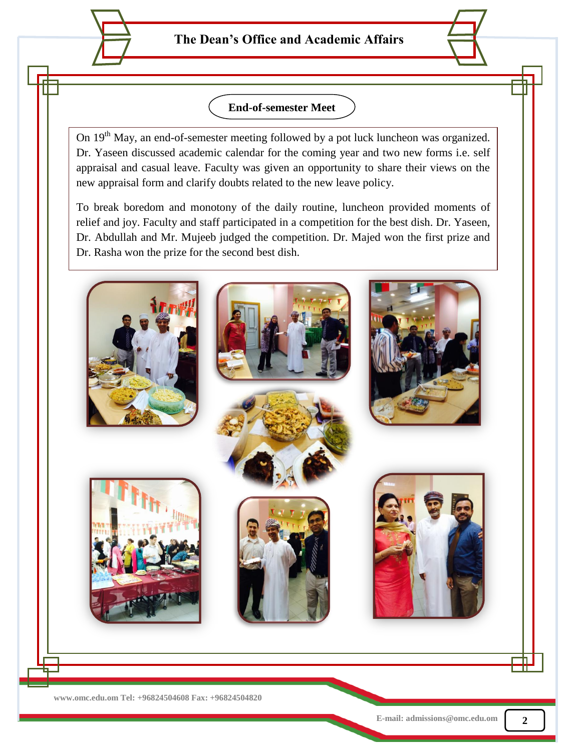## **End-of-semester Meet**

On 19<sup>th</sup> May, an end-of-semester meeting followed by a pot luck luncheon was organized. Dr. Yaseen discussed academic calendar for the coming year and two new forms i.e. self appraisal and casual leave. Faculty was given an opportunity to share their views on the new appraisal form and clarify doubts related to the new leave policy.

To break boredom and monotony of the daily routine, luncheon provided moments of relief and joy. Faculty and staff participated in a competition for the best dish. Dr. Yaseen, Dr. Abdullah and Mr. Mujeeb judged the competition. Dr. Majed won the first prize and Dr. Rasha won the prize for the second best dish.

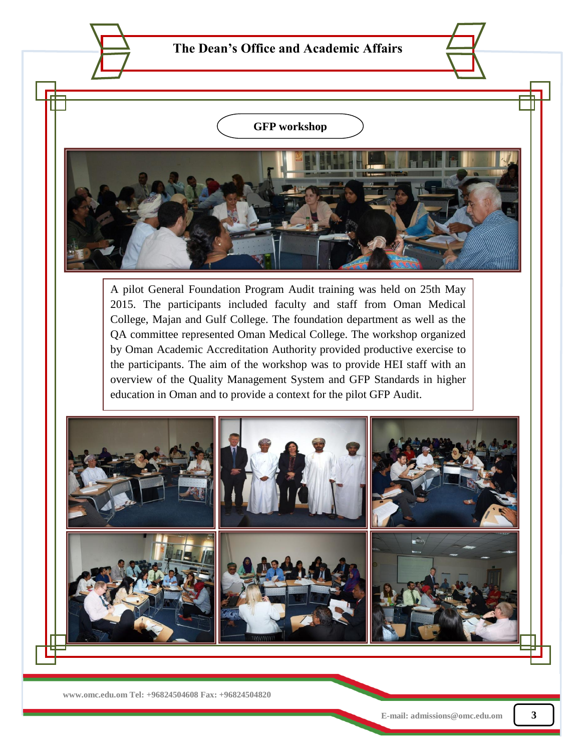## $\sim$  GED markets  $\sim$ the theme  $\bigcup$  of  $\bigcup$  or  $\bigcup$  or  $\bigcup$  and  $\bigcup$ **GFP workshop**

workshops, scientific activities and social programs were some of the highlights of the highlights of this event. Muna Hyder, Luis and Meer and Meer and Meer represented OMC. Dr. Saleh Al Khusaiby, Dean of OMC- Sohar. and Dr. Yaseen Al Lawatia

 $N_{\rm eff}$  , the picture shows Dr. Abdullah Al Horthy, Deputy Director of Sultan Taboos' University Director of Sultan Taboos' University Director of Sultan Taboos' University Director of Sultan Taboos' University Director

and other healthcare related disciplines participated in this two day event. The event was organized by Sultan Taboos' University - Medical Students Group. Training sessions,

Dean of the Premed and Pharmacy program were the special guests of the special guests of the special guests of

A pilot General Foundation Program Audit training was held on 25th May 2015. The participants included faculty and staff from Oman Medical College, Majan and Gulf College. The foundation department as well as the QA committee represented Oman Medical College. The workshop organized by Oman Academic Accreditation Authority provided productive exercise to the participants. The aim of the workshop was to provide HEI staff with an overview of the Quality Management System and GFP Standards in higher education in Oman and to provide a context for the pilot GFP Audit.



 **www.omc.edu.om Tel: +96824504608 Fax: +96824504820**

Hospital With Dr. Saleh and Dr. Yaseen.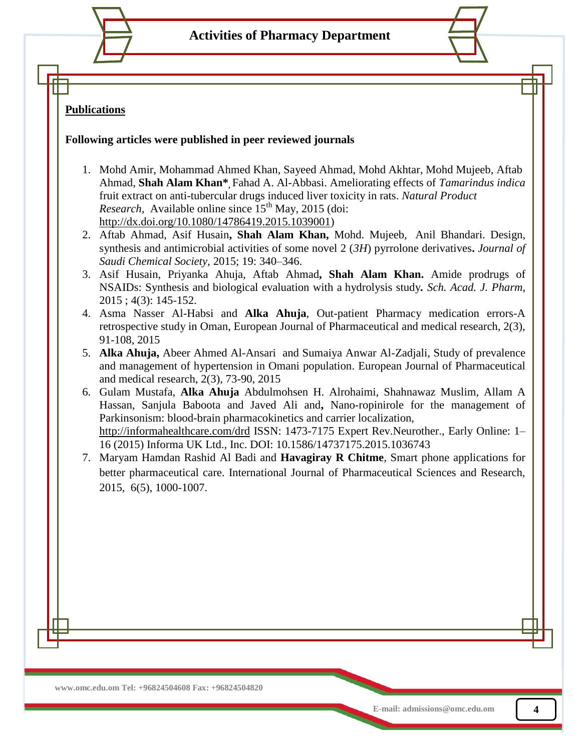**Activities of Pharmacy Department**

## **Publications**

## **Following articles were published in peer reviewed journals**

- 1. Mohd Amir, Mohammad Ahmed Khan, Sayeed Ahmad, Mohd Akhtar, Mohd Mujeeb*,* Aftab Ahmad, **Shah Alam Khan\*,** Fahad A. Al-Abbasi. Ameliorating effects of *Tamarindus indica* fruit extract on anti-tubercular drugs induced liver toxicity in rats. *Natural Product Research*, Available online since  $15<sup>th</sup>$  May, 2015 (doi: [http://dx.doi.org/10.1080/14786419.2015.1039001\)](http://dx.doi.org/10.1080/14786419.2015.1039001)
- 2. Aftab Ahmad, Asif Husain**, Shah Alam Khan,** Mohd. Mujeeb, Anil Bhandari. Design, synthesis and antimicrobial activities of some novel 2 (*3H*) pyrrolone derivatives**.** *Journal of Saudi Chemical Society,* 2015; 19: 340–346.
- 3. Asif Husain, Priyanka Ahuja, Aftab Ahmad**, Shah Alam Khan.** Amide prodrugs of NSAIDs: Synthesis and biological evaluation with a hydrolysis study*. Sch. Acad. J. Pharm*, 2015 ; 4(3): 145-152.
- 4. Asma Nasser Al-Habsi and **Alka Ahuja**, Out-patient Pharmacy medication errors-A retrospective study in Oman, European Journal of Pharmaceutical and medical research, 2(3), 91-108, 2015
- 5. **Alka Ahuja,** Abeer Ahmed Al-Ansari and Sumaiya Anwar Al-Zadjali, Study of prevalence and management of hypertension in Omani population. European Journal of Pharmaceutical and medical research, 2(3), 73-90, 2015
- 6. Gulam Mustafa, **Alka Ahuja** Abdulmohsen H. Alrohaimi, Shahnawaz Muslim, Allam A Hassan, Sanjula Baboota and Javed Ali and**,** Nano-ropinirole for the management of Parkinsonism: blood-brain pharmacokinetics and carrier localization, <http://informahealthcare.com/drd> ISSN: 1473-7175 Expert Rev.Neurother., Early Online: 1– 16 (2015) Informa UK Ltd., Inc. DOI: 10.1586/14737175.2015.1036743
- 7. Maryam Hamdan Rashid Al Badi and **Havagiray R Chitme**, Smart phone applications for better pharmaceutical care. International Journal of Pharmaceutical Sciences and Research, 2015, 6(5), 1000-1007.